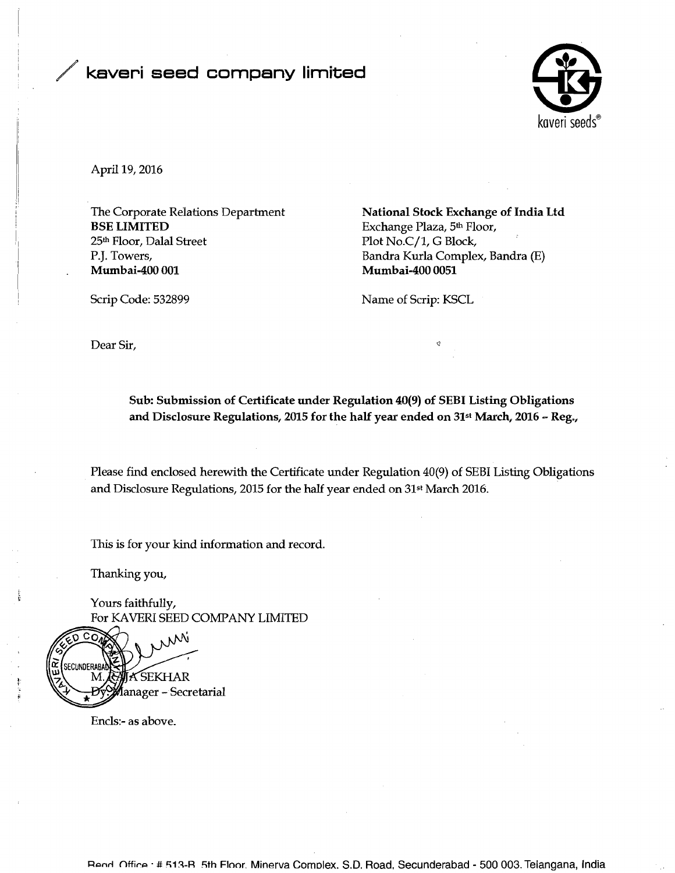## kaveri seed company limited



April 19,2016

BSE LIMITED<br>25<sup>th</sup> Floor, Dalal Street **Exchange Plaza**, 5<sup>th</sup> Floor, 25<sup>th</sup> Floor, 25<sup>th</sup> Floor, 25<sup>th</sup> Floor, 25<sup>th</sup> Floor, 25<sup>th</sup> Floor, 25<sup>th</sup> Floor, 25<sup>th</sup> Floor, 25<sup>th</sup> Floor, 25<sup>th</sup> Floor, 25<sup>th</sup> Floor, 25<sup>th</sup> Floor 25<sup>th</sup> Floor, Dalal Street Plot No.C/1, G Block,<br>P.J. Towers, Bandra Kurla Comple P. J. Towers, Bandra Kurla Complex, Bandra (E)

The Corporate Relations Department **National Stock Exchange of India Ltd**<br>BSE LIMITED Exchange Plaza, 5<sup>th</sup> Floor, Mumbai-400 0051

Scrip Code: 532899 Name of Scrip: KSCL

Dear Sir,

Sub: Submission of Certificate under Regulation 40(9) of SEBI Listing Obligations and Disclosure Regulations, 2015 for the half year ended on 31<sup>st</sup> March, 2016 - Reg.,

Please find enclosed herewith the Certificate under Regulation 40(9) of SEBI Listing Obligations and Disclosure Regulations, 2015 for the half year ended on 31st March 2016.

This is for your kind information and record.

Thanking you,

**<sup>t</sup>**Yours faithfully, For **KAVERI** SEED COMPANY LIMITED



Encls:- as above.